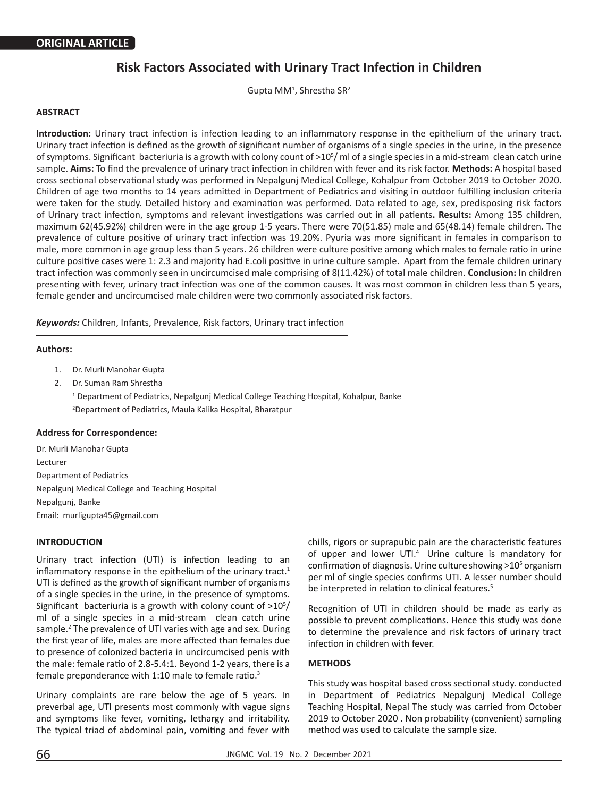# **Risk Factors Associated with Urinary Tract Infection in Children**

Gupta MM<sup>1</sup>, Shrestha SR<sup>2</sup>

## **ABSTRACT**

**Introduction:** Urinary tract infection is infection leading to an inflammatory response in the epithelium of the urinary tract. Urinary tract infection is defined as the growth of significant number of organisms of a single species in the urine, in the presence of symptoms. Significant bacteriuria is a growth with colony count of >10<sup>5</sup>/ml of a single species in a mid-stream clean catch urine sample. **Aims:** To find the prevalence of urinary tract infection in children with fever and its risk factor. **Methods:** A hospital based cross sectional observational study was performed in Nepalgunj Medical College, Kohalpur from October 2019 to October 2020. Children of age two months to 14 years admitted in Department of Pediatrics and visiting in outdoor fulfilling inclusion criteria were taken for the study. Detailed history and examination was performed. Data related to age, sex, predisposing risk factors of Urinary tract infection, symptoms and relevant investigations was carried out in all patients**. Results:** Among 135 children, maximum 62(45.92%) children were in the age group 1-5 years. There were 70(51.85) male and 65(48.14) female children. The prevalence of culture positive of urinary tract infection was 19.20%. Pyuria was more significant in females in comparison to male, more common in age group less than 5 years. 26 children were culture positive among which males to female ratio in urine culture positive cases were 1: 2.3 and majority had E.coli positive in urine culture sample. Apart from the female children urinary tract infection was commonly seen in uncircumcised male comprising of 8(11.42%) of total male children. **Conclusion:** In children presenting with fever, urinary tract infection was one of the common causes. It was most common in children less than 5 years, female gender and uncircumcised male children were two commonly associated risk factors.

*Keywords:* Children, Infants, Prevalence, Risk factors, Urinary tract infection

#### **Authors:**

- 1. Dr. Murli Manohar Gupta
- 2. Dr. Suman Ram Shrestha <sup>1</sup> Department of Pediatrics, Nepalgunj Medical College Teaching Hospital, Kohalpur, Banke 2 Department of Pediatrics, Maula Kalika Hospital, Bharatpur

## **Address for Correspondence:**

Dr. Murli Manohar Gupta Lecturer Department of Pediatrics Nepalgunj Medical College and Teaching Hospital Nepalgunj, Banke Email: murligupta45@gmail.com

## **INTRODUCTION**

Urinary tract infection (UTI) is infection leading to an inflammatory response in the epithelium of the urinary tract. $1$ UTI is defined as the growth of significant number of organisms of a single species in the urine, in the presence of symptoms. Significant bacteriuria is a growth with colony count of  $>10^{5}/$ ml of a single species in a mid-stream clean catch urine sample.<sup>2</sup> The prevalence of UTI varies with age and sex. During the first year of life, males are more affected than females due to presence of colonized bacteria in uncircumcised penis with the male: female ratio of 2.8-5.4:1. Beyond 1-2 years, there is a female preponderance with 1:10 male to female ratio.3

Urinary complaints are rare below the age of 5 years. In preverbal age, UTI presents most commonly with vague signs and symptoms like fever, vomiting, lethargy and irritability. The typical triad of abdominal pain, vomiting and fever with

chills, rigors or suprapubic pain are the characteristic features of upper and lower UTI.<sup>4</sup> Urine culture is mandatory for confirmation of diagnosis. Urine culture showing >10<sup>5</sup> organism per ml of single species confirms UTI. A lesser number should be interpreted in relation to clinical features.<sup>5</sup>

Recognition of UTI in children should be made as early as possible to prevent complications. Hence this study was done to determine the prevalence and risk factors of urinary tract infection in children with fever.

## **METHODS**

This study was hospital based cross sectional study. conducted in Department of Pediatrics Nepalgunj Medical College Teaching Hospital, Nepal The study was carried from October 2019 to October 2020 . Non probability (convenient) sampling method was used to calculate the sample size.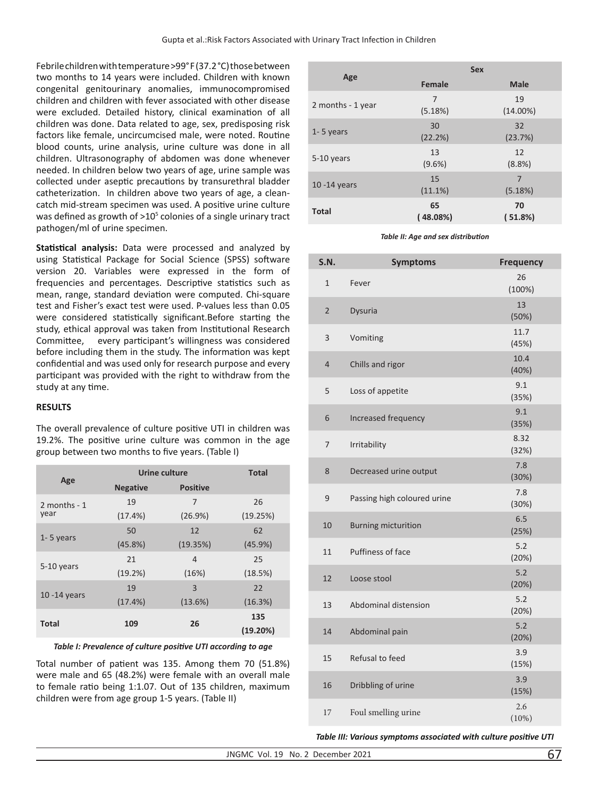Febrile children with temperature >99° F (37.2 °C) those between two months to 14 years were included. Children with known congenital genitourinary anomalies, immunocompromised children and children with fever associated with other disease were excluded. Detailed history, clinical examination of all children was done. Data related to age, sex, predisposing risk factors like female, uncircumcised male, were noted. Routine blood counts, urine analysis, urine culture was done in all children. Ultrasonography of abdomen was done whenever needed. In children below two years of age, urine sample was collected under aseptic precautions by transurethral bladder catheterization. In children above two years of age, a cleancatch mid-stream specimen was used. A positive urine culture was defined as growth of  $>10<sup>5</sup>$  colonies of a single urinary tract pathogen/ml of urine specimen.

**Statistical analysis:** Data were processed and analyzed by using Statistical Package for Social Science (SPSS) software version 20. Variables were expressed in the form of frequencies and percentages. Descriptive statistics such as mean, range, standard deviation were computed. Chi-square test and Fisher's exact test were used. P-values less than 0.05 were considered statistically significant.Before starting the study, ethical approval was taken from Institutional Research Committee, every participant's willingness was considered before including them in the study. The information was kept confidential and was used only for research purpose and every participant was provided with the right to withdraw from the study at any time.

# **RESULTS**

| The overall prevalence of culture positive UTI in children was |
|----------------------------------------------------------------|
| 19.2%. The positive urine culture was common in the age        |
| group between two months to five years. (Table I)              |
|                                                                |

|                 | Urine culture   |                 | <b>Total</b>    |
|-----------------|-----------------|-----------------|-----------------|
| Age             | <b>Negative</b> | <b>Positive</b> |                 |
| 2 months $-1$   | 19              | 7               | 26              |
| year            | (17.4%)         | (26.9%)         | (19.25%)        |
| $1 - 5$ years   | 50              | 12              | 62              |
|                 | (45.8%)         | (19.35%)        | (45.9%)         |
| 5-10 years      | 21              | 4               | 25              |
|                 | (19.2%)         | (16%)           | (18.5%)         |
| $10 - 14$ years | 19              | 3               | 22              |
|                 | (17.4%)         | (13.6%)         | (16.3%)         |
| <b>Total</b>    | 109             | 26              | 135<br>(19.20%) |

## *Table I: Prevalence of culture positive UTI according to age*

Total number of patient was 135. Among them 70 (51.8%) were male and 65 (48.2%) were female with an overall male to female ratio being 1:1.07. Out of 135 children, maximum children were from age group 1-5 years. (Table II)

|                   |                 | <b>Sex</b>        |
|-------------------|-----------------|-------------------|
| Age               | <b>Female</b>   | <b>Male</b>       |
| 2 months - 1 year | 7<br>(5.18%)    | 19<br>$(14.00\%)$ |
| $1 - 5$ years     | 30<br>(22.2%)   | 32<br>(23.7%)     |
| 5-10 years        | 13<br>$(9.6\%)$ | 12<br>(8.8%)      |
| $10 - 14$ years   | 15<br>(11.1%)   | 7<br>(5.18%)      |
| <b>Total</b>      | 65<br>(48.08%)  | 70<br>(51.8%)     |

*Table II: Age and sex distribution* 

| <b>S.N.</b>    | <b>Symptoms</b>             | <b>Frequency</b> |
|----------------|-----------------------------|------------------|
| $\mathbf{1}$   | Fever                       | 26<br>(100%)     |
| $\overline{2}$ | Dysuria                     | 13<br>(50%)      |
| 3              | Vomiting                    | 11.7<br>(45%)    |
| 4              | Chills and rigor            | 10.4<br>(40%)    |
| 5              | Loss of appetite            | 9.1<br>(35%)     |
| 6              | Increased frequency         | 9.1<br>(35%)     |
| 7              | Irritability                | 8.32<br>(32%)    |
| 8              | Decreased urine output      | 7.8<br>(30%)     |
| 9              | Passing high coloured urine | 7.8<br>(30%)     |
| 10             | <b>Burning micturition</b>  | 6.5<br>(25%)     |
| 11             | Puffiness of face           | 5.2<br>(20%)     |
| 12             | Loose stool                 | $5.2$<br>(20%)   |
| 13             | Abdominal distension        | $5.2$<br>(20%)   |
| 14             | Abdominal pain              | 5.2<br>(20%)     |
| 15             | Refusal to feed             | 3.9<br>(15%)     |
| 16             | Dribbling of urine          | 3.9<br>(15%)     |
| 17             | Foul smelling urine         | 2.6<br>(10%)     |

*Table III: Various symptoms associated with culture positive UTI*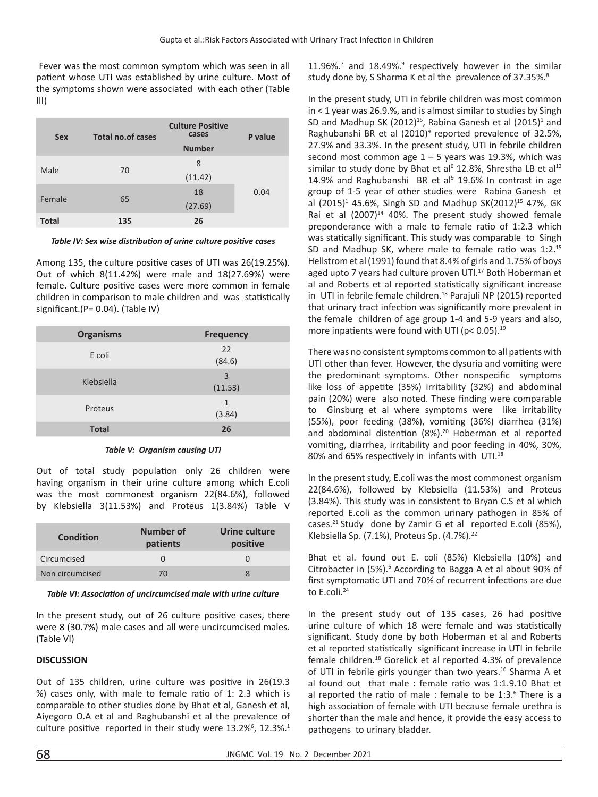Fever was the most common symptom which was seen in all patient whose UTI was established by urine culture. Most of the symptoms shown were associated with each other (Table III)

| <b>Sex</b>   | <b>Total no.of cases</b> | <b>Culture Positive</b><br>cases<br><b>Number</b> | P value |
|--------------|--------------------------|---------------------------------------------------|---------|
| Male         | 70                       | 8<br>(11.42)                                      |         |
| Female       | 65                       | 18<br>(27.69)                                     | 0.04    |
| <b>Total</b> | 135                      | 26                                                |         |

*Table IV: Sex wise distribution of urine culture positive cases* 

Among 135, the culture positive cases of UTI was 26(19.25%). Out of which 8(11.42%) were male and 18(27.69%) were female. Culture positive cases were more common in female children in comparison to male children and was statistically significant.(P= 0.04). (Table IV)

| <b>Organisms</b> | <b>Frequency</b>          |
|------------------|---------------------------|
| E coli           | 22<br>(84.6)              |
| Klebsiella       | $\overline{3}$<br>(11.53) |
| Proteus          | 1<br>(3.84)               |
| <b>Total</b>     | 26                        |

## *Table V: Organism causing UTI*

Out of total study population only 26 children were having organism in their urine culture among which E.coli was the most commonest organism 22(84.6%), followed by Klebsiella 3(11.53%) and Proteus 1(3.84%) Table V

| <b>Condition</b> | Number of<br>patients | Urine culture<br>positive |
|------------------|-----------------------|---------------------------|
| Circumcised      |                       |                           |
| Non circumcised  | 70                    |                           |

## *Table VI: Association of uncircumcised male with urine culture*

In the present study, out of 26 culture positive cases, there were 8 (30.7%) male cases and all were uncircumcised males. (Table VI)

# **DISCUSSION**

Out of 135 children, urine culture was positive in 26(19.3 %) cases only, with male to female ratio of 1: 2.3 which is comparable to other studies done by Bhat et al, Ganesh et al, Aiyegoro O.A et al and Raghubanshi et al the prevalence of culture positive reported in their study were  $13.2\%$ <sup>6</sup>,  $12.3\%$ <sup>1</sup>

 $11.96\%$ .<sup>7</sup> and  $18.49\%$ .<sup>9</sup> respectively however in the similar study done by, S Sharma K et al the prevalence of 37.35%.<sup>8</sup>

In the present study, UTI in febrile children was most common in < 1 year was 26.9.%, and is almost similar to studies by Singh SD and Madhup SK (2012)<sup>15</sup>, Rabina Ganesh et al (2015)<sup>1</sup> and Raghubanshi BR et al (2010)<sup>9</sup> reported prevalence of 32.5%, 27.9% and 33.3%. In the present study, UTI in febrile children second most common age  $1 - 5$  years was 19.3%, which was similar to study done by Bhat et al<sup>6</sup> 12.8%, Shrestha LB et al<sup>12</sup> 14.9% and Raghubanshi BR et al $9$  19.6% In contrast in age group of 1-5 year of other studies were Rabina Ganesh et al (2015)<sup>1</sup> 45.6%, Singh SD and Madhup SK(2012)<sup>15</sup> 47%, GK Rai et al  $(2007)^{14}$  40%. The present study showed female preponderance with a male to female ratio of 1:2.3 which was statically significant. This study was comparable to Singh SD and Madhup SK, where male to female ratio was 1:2.<sup>15</sup> Hellstrom et al (1991) found that 8.4% of girls and 1.75% of boys aged upto 7 years had culture proven UTI.<sup>17</sup> Both Hoberman et al and Roberts et al reported statistically significant increase in UTI in febrile female children.<sup>18</sup> Parajuli NP (2015) reported that urinary tract infection was significantly more prevalent in the female children of age group 1-4 and 5-9 years and also, more inpatients were found with UTI ( $p$ < 0.05).<sup>19</sup>

There was no consistent symptoms common to all patients with UTI other than fever. However, the dysuria and vomiting were the predominant symptoms. Other nonspecific symptoms like loss of appetite (35%) irritability (32%) and abdominal pain (20%) were also noted. These finding were comparable to Ginsburg et al where symptoms were like irritability (55%), poor feeding (38%), vomiting (36%) diarrhea (31%) and abdominal distention (8%).<sup>20</sup> Hoberman et al reported vomiting, diarrhea, irritability and poor feeding in 40%, 30%, 80% and 65% respectively in infants with UTI.<sup>18</sup>

In the present study, E.coli was the most commonest organism 22(84.6%), followed by Klebsiella (11.53%) and Proteus (3.84%). This study was in consistent to Bryan C.S et al which reported E.coli as the common urinary pathogen in 85% of cases.<sup>21</sup> Study done by Zamir G et al reported E.coli (85%), Klebsiella Sp. (7.1%), Proteus Sp. (4.7%).<sup>22</sup>

Bhat et al. found out E. coli (85%) Klebsiella (10%) and Citrobacter in (5%).<sup>6</sup> According to Bagga A et al about 90% of first symptomatic UTI and 70% of recurrent infections are due to E.coli.<sup>24</sup>

In the present study out of 135 cases, 26 had positive urine culture of which 18 were female and was statistically significant. Study done by both Hoberman et al and Roberts et al reported statistically significant increase in UTI in febrile female children.18 Gorelick et al reported 4.3% of prevalence of UTI in febrile girls younger than two years.<sup>16</sup> Sharma A et al found out that male : female ratio was 1:1.9.10 Bhat et al reported the ratio of male : female to be 1:3.<sup>6</sup> There is a high association of female with UTI because female urethra is shorter than the male and hence, it provide the easy access to pathogens to urinary bladder.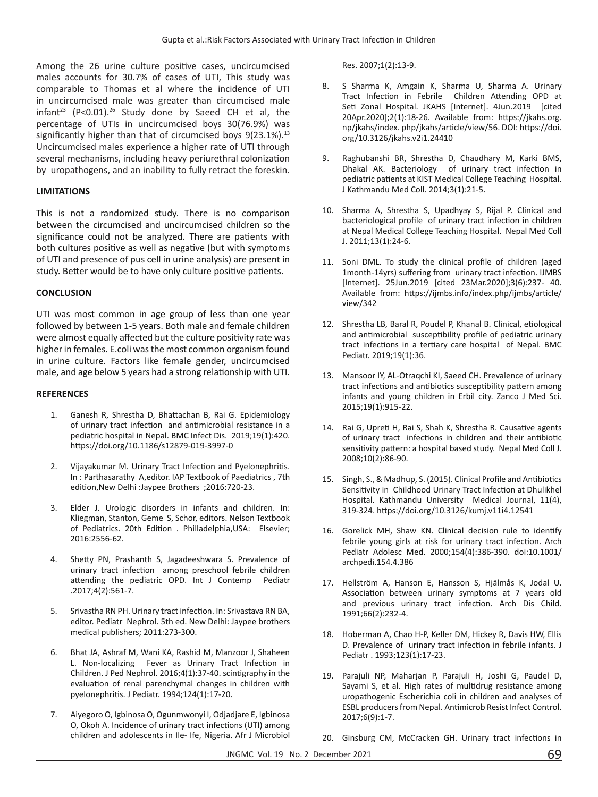Among the 26 urine culture positive cases, uncircumcised males accounts for 30.7% of cases of UTI, This study was comparable to Thomas et al where the incidence of UTI in uncircumcised male was greater than circumcised male infant<sup>23</sup> (P<0.01).<sup>26</sup> Study done by Saeed CH et al, the percentage of UTIs in uncircumcised boys 30(76.9%) was significantly higher than that of circumcised boys  $9(23.1\%)$ .<sup>13</sup> Uncircumcised males experience a higher rate of UTI through several mechanisms, including heavy periurethral colonization by uropathogens, and an inability to fully retract the foreskin.

## **LIMITATIONS**

This is not a randomized study. There is no comparison between the circumcised and uncircumcised children so the significance could not be analyzed. There are patients with both cultures positive as well as negative (but with symptoms of UTI and presence of pus cell in urine analysis) are present in study. Better would be to have only culture positive patients.

## **CONCLUSION**

UTI was most common in age group of less than one year followed by between 1-5 years. Both male and female children were almost equally affected but the culture positivity rate was higher in females. E.coli was the most common organism found in urine culture. Factors like female gender, uncircumcised male, and age below 5 years had a strong relationship with UTI.

#### **REFERENCES**

- 1. Ganesh R, Shrestha D, Bhattachan B, Rai G. Epidemiology of urinary tract infection and antimicrobial resistance in a pediatric hospital in Nepal. BMC Infect Dis. 2019;19(1):420. https://doi.org/10.1186/s12879-019-3997-0
- 2. Vijayakumar M. Urinary Tract Infection and Pyelonephritis. In : Parthasarathy A,editor. IAP Textbook of Paediatrics , 7th edition,New Delhi :Jaypee Brothers ;2016:720-23.
- 3. Elder J. Urologic disorders in infants and children. In: Kliegman, Stanton, Geme S, Schor, editors. Nelson Textbook of Pediatrics. 20th Edition . Philladelphia,USA: Elsevier; 2016:2556-62.
- 4. Shetty PN, Prashanth S, Jagadeeshwara S. Prevalence of urinary tract infection among preschool febrile children attending the pediatric OPD. Int J Contemp Pediatr .2017;4(2):561-7.
- 5. Srivastha RN PH. Urinary tract infection. In: Srivastava RN BA, editor. Pediatr Nephrol. 5th ed. New Delhi: Jaypee brothers medical publishers; 2011:273-300.
- 6. Bhat JA, Ashraf M, Wani KA, Rashid M, Manzoor J, Shaheen L. Non-localizing Fever as Urinary Tract Infection in Children. J Ped Nephrol. 2016;4(1):37-40. scintigraphy in the evaluation of renal parenchymal changes in children with pyelonephritis. J Pediatr. 1994;124(1):17-20.
- 7. Aiyegoro O, Igbinosa O, Ogunmwonyi I, Odjadjare E, Igbinosa O, Okoh A. Incidence of urinary tract infections (UTI) among children and adolescents in Ile- Ife, Nigeria. Afr J Microbiol

#### Res. 2007;1(2):13-9.

- 8. S Sharma K, Amgain K, Sharma U, Sharma A. Urinary Tract Infection in Febrile Children Attending OPD at Seti Zonal Hospital. JKAHS [Internet]. 4Jun.2019 [cited 20Apr.2020];2(1):18-26. Available from: https://jkahs.org. np/jkahs/index. php/jkahs/article/view/56. DOI: https://doi. org/10.3126/jkahs.v2i1.24410
- 9. Raghubanshi BR, Shrestha D, Chaudhary M, Karki BMS, Dhakal AK. Bacteriology of urinary tract infection in pediatric patients at KIST Medical College Teaching Hospital. J Kathmandu Med Coll. 2014;3(1):21-5.
- 10. Sharma A, Shrestha S, Upadhyay S, Rijal P. Clinical and bacteriological profile of urinary tract infection in children at Nepal Medical College Teaching Hospital. Nepal Med Coll J. 2011;13(1):24-6.
- 11. Soni DML. To study the clinical profile of children (aged 1month-14yrs) suffering from urinary tract infection. IJMBS [Internet]. 25Jun.2019 [cited 23Mar.2020];3(6):237- 40. Available from: https://ijmbs.info/index.php/ijmbs/article/ view/342
- 12. Shrestha LB, Baral R, Poudel P, Khanal B. Clinical, etiological and antimicrobial susceptibility profile of pediatric urinary tract infections in a tertiary care hospital of Nepal. BMC Pediatr. 2019;19(1):36.
- 13. Mansoor IY, AL-Otraqchi KI, Saeed CH. Prevalence of urinary tract infections and antibiotics susceptibility pattern among infants and young children in Erbil city. Zanco J Med Sci. 2015;19(1):915-22.
- 14. Rai G, Upreti H, Rai S, Shah K, Shrestha R. Causative agents of urinary tract infections in children and their antibiotic sensitivity pattern: a hospital based study. Nepal Med Coll J. 2008;10(2):86-90.
- 15. Singh, S., & Madhup, S. (2015). Clinical Profile and Antibiotics Sensitivity in Childhood Urinary Tract Infection at Dhulikhel Hospital. Kathmandu University Medical Journal, 11(4), 319-324. https://doi.org/10.3126/kumj.v11i4.12541
- 16. Gorelick MH, Shaw KN. Clinical decision rule to identify febrile young girls at risk for urinary tract infection. Arch Pediatr Adolesc Med. 2000;154(4):386-390. doi:10.1001/ archpedi.154.4.386
- 17. Hellström A, Hanson E, Hansson S, Hjälmås K, Jodal U. Association between urinary symptoms at 7 years old and previous urinary tract infection. Arch Dis Child. 1991;66(2):232-4.
- 18. Hoberman A, Chao H-P, Keller DM, Hickey R, Davis HW, Ellis D. Prevalence of urinary tract infection in febrile infants. J Pediatr . 1993;123(1):17-23.
- 19. Parajuli NP, Maharjan P, Parajuli H, Joshi G, Paudel D, Sayami S, et al. High rates of multidrug resistance among uropathogenic Escherichia coli in children and analyses of ESBL producers from Nepal. Antimicrob Resist Infect Control. 2017;6(9):1-7.
- 20. Ginsburg CM, McCracken GH. Urinary tract infections in